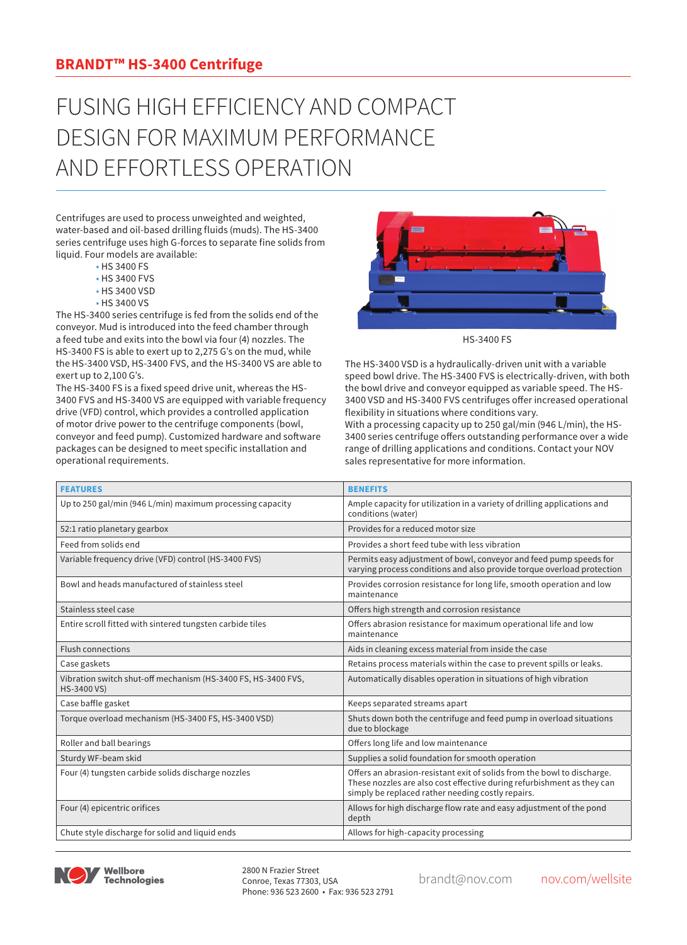## **BRANDT™ HS-3400 Centrifuge**

## FUSING HIGH EFFICIENCY AND COMPACT DESIGN FOR MAXIMUM PERFORMANCE AND EFFORTLESS OPERATION

Centrifuges are used to process unweighted and weighted, water-based and oil-based drilling fluids (muds). The HS-3400 series centrifuge uses high G-forces to separate fine solids from liquid. Four models are available:

- HS 3400 FS
- HS 3400 FVS
- HS 3400 VSD
- HS 3400 VS

The HS-3400 series centrifuge is fed from the solids end of the conveyor. Mud is introduced into the feed chamber through a feed tube and exits into the bowl via four (4) nozzles. The HS-3400 FS is able to exert up to 2,275 G's on the mud, while the HS-3400 VSD, HS-3400 FVS, and the HS-3400 VS are able to exert up to 2,100 G's.

The HS-3400 FS is a fixed speed drive unit, whereas the HS-3400 FVS and HS-3400 VS are equipped with variable frequency drive (VFD) control, which provides a controlled application of motor drive power to the centrifuge components (bowl, conveyor and feed pump). Customized hardware and soft packages can be designed to meet specific installation an operational requirements.



HS-3400 FS

The HS-3400 VSD is a hydraulically-driven unit with a variable speed bowl drive. The HS-3400 FVS is electrically-driven, with both the bowl drive and conveyor equipped as variable speed. The HS-3400 VSD and HS-3400 FVS centrifuges offer increased operational flexibility in situations where conditions vary. With a processing capacity up to 250 gal/min (946 L/min), the HS-3400 series centrifuge offers outstanding performance over a wide

|            | <b>BENEFITS</b>                                                                                                                                                                    |
|------------|------------------------------------------------------------------------------------------------------------------------------------------------------------------------------------|
| ware<br>١d | 3400 series centrifuge offers outstanding performance over a wide<br>range of drilling applications and conditions. Contact your NOV<br>sales representative for more information. |

| <b>FEATURES</b>                                                              | <b>BENEFITS</b>                                                                                                                                                                                        |  |  |
|------------------------------------------------------------------------------|--------------------------------------------------------------------------------------------------------------------------------------------------------------------------------------------------------|--|--|
| Up to 250 gal/min (946 L/min) maximum processing capacity                    | Ample capacity for utilization in a variety of drilling applications and<br>conditions (water)                                                                                                         |  |  |
| 52:1 ratio planetary gearbox                                                 | Provides for a reduced motor size                                                                                                                                                                      |  |  |
| Feed from solids end                                                         | Provides a short feed tube with less vibration                                                                                                                                                         |  |  |
| Variable frequency drive (VFD) control (HS-3400 FVS)                         | Permits easy adjustment of bowl, conveyor and feed pump speeds for<br>varying process conditions and also provide torque overload protection                                                           |  |  |
| Bowl and heads manufactured of stainless steel                               | Provides corrosion resistance for long life, smooth operation and low<br>maintenance                                                                                                                   |  |  |
| Stainless steel case                                                         | Offers high strength and corrosion resistance                                                                                                                                                          |  |  |
| Entire scroll fitted with sintered tungsten carbide tiles                    | Offers abrasion resistance for maximum operational life and low<br>maintenance                                                                                                                         |  |  |
| <b>Flush connections</b>                                                     | Aids in cleaning excess material from inside the case                                                                                                                                                  |  |  |
| Case gaskets                                                                 | Retains process materials within the case to prevent spills or leaks.                                                                                                                                  |  |  |
| Vibration switch shut-off mechanism (HS-3400 FS, HS-3400 FVS,<br>HS-3400 VS) | Automatically disables operation in situations of high vibration                                                                                                                                       |  |  |
| Case baffle gasket                                                           | Keeps separated streams apart                                                                                                                                                                          |  |  |
| Torque overload mechanism (HS-3400 FS, HS-3400 VSD)                          | Shuts down both the centrifuge and feed pump in overload situations<br>due to blockage                                                                                                                 |  |  |
| Roller and ball bearings                                                     | Offers long life and low maintenance                                                                                                                                                                   |  |  |
| Sturdy WF-beam skid                                                          | Supplies a solid foundation for smooth operation                                                                                                                                                       |  |  |
| Four (4) tungsten carbide solids discharge nozzles                           | Offers an abrasion-resistant exit of solids from the bowl to discharge.<br>These nozzles are also cost effective during refurbishment as they can<br>simply be replaced rather needing costly repairs. |  |  |
| Four (4) epicentric orifices                                                 | Allows for high discharge flow rate and easy adjustment of the pond<br>depth                                                                                                                           |  |  |
| Chute style discharge for solid and liquid ends                              | Allows for high-capacity processing                                                                                                                                                                    |  |  |